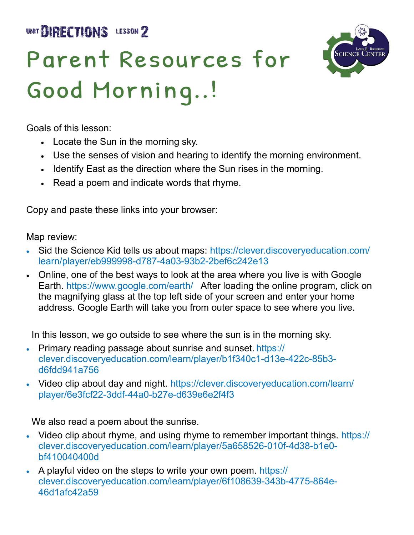

## Parent Resources for Good Morning..!



Goals of this lesson:

- Locate the Sun in the morning sky.
- Use the senses of vision and hearing to identify the morning environment.
- Identify East as the direction where the Sun rises in the morning.
- Read a poem and indicate words that rhyme.

Copy and paste these links into your browser:

Map review:

- Sid the Science Kid tells us about maps: https://clever.discoveryeducation.com/ learn/player/eb999998-d787-4a03-93b2-2bef6c242e13
- Online, one of the best ways to look at the area where you live is with Google Earth.<https://www.google.com/earth/>After loading the online program, click on the magnifying glass at the top left side of your screen and enter your home address. Google Earth will take you from outer space to see where you live.

In this lesson, we go outside to see where the sun is in the morning sky.

- Primary reading passage about sunrise and sunset. https:// clever.discoveryeducation.com/learn/player/b1f340c1-d13e-422c-85b3 d6fdd941a756
- Video clip about day and night. https://clever.discoveryeducation.com/learn/ player/6e3fcf22-3ddf-44a0-b27e-d639e6e2f4f3

We also read a poem about the sunrise.

- Video clip about rhyme, and using rhyme to remember important things. https:// clever.discoveryeducation.com/learn/player/5a658526-010f-4d38-b1e0 bf410040400d
- A playful video on the steps to write your own poem. https:// clever.discoveryeducation.com/learn/player/6f108639-343b-4775-864e-46d1afc42a59